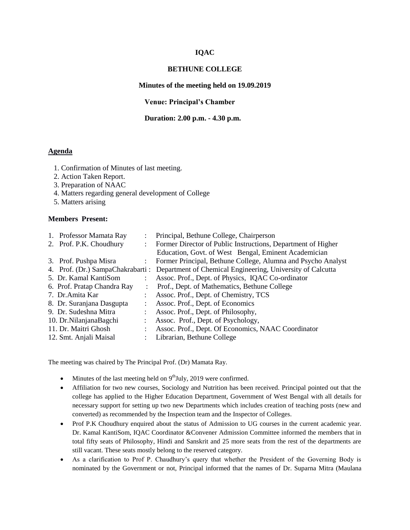## **IQAC**

### **BETHUNE COLLEGE**

## **Minutes of the meeting held on 19.09.2019**

**Venue: Principal's Chamber**

### **Duration: 2.00 p.m. - 4.30 p.m.**

# **Agenda**

- 1. Confirmation of Minutes of last meeting.
- 2. Action Taken Report.
- 3. Preparation of NAAC
- 4. Matters regarding general development of College
- 5. Matters arising

### **Members Present:**

| 1. Professor Mamata Ray     | $\ddot{\cdot}$ | Principal, Bethune College, Chairperson                                                     |
|-----------------------------|----------------|---------------------------------------------------------------------------------------------|
| 2. Prof. P.K. Choudhury     |                | Former Director of Public Instructions, Department of Higher                                |
|                             |                | Education, Govt. of West Bengal, Eminent Academician                                        |
| 3. Prof. Pushpa Misra       |                | Former Principal, Bethune College, Alumna and Psycho Analyst                                |
|                             |                | 4. Prof. (Dr.) SampaChakrabarti: Department of Chemical Engineering, University of Calcutta |
| 5. Dr. Kamal KantiSom       |                | Assoc. Prof., Dept. of Physics, IQAC Co-ordinator                                           |
| 6. Prof. Pratap Chandra Ray |                | Prof., Dept. of Mathematics, Bethune College                                                |
| 7. Dr. Amita Kar            |                | Assoc. Prof., Dept. of Chemistry, TCS                                                       |
| 8. Dr. Suranjana Dasgupta   |                | Assoc. Prof., Dept. of Economics                                                            |
| 9. Dr. Sudeshna Mitra       |                | Assoc. Prof., Dept. of Philosophy,                                                          |
| 10. Dr. Nilanjana Bagchi    |                | Assoc. Prof., Dept. of Psychology,                                                          |
| 11. Dr. Maitri Ghosh        |                | Assoc. Prof., Dept. Of Economics, NAAC Coordinator                                          |
| 12. Smt. Anjali Maisal      |                | Librarian, Bethune College                                                                  |
|                             |                |                                                                                             |

The meeting was chaired by The Principal Prof. (Dr) Mamata Ray.

- $\bullet$  Minutes of the last meeting held on  $9<sup>th</sup>$  July, 2019 were confirmed.
- Affiliation for two new courses, Sociology and Nutrition has been received. Principal pointed out that the college has applied to the Higher Education Department, Government of West Bengal with all details for necessary support for setting up two new Departments which includes creation of teaching posts (new and converted) as recommended by the Inspection team and the Inspector of Colleges.
- Prof P.K Choudhury enquired about the status of Admission to UG courses in the current academic year. Dr. Kamal KantiSom, IQAC Coordinator &Convener Admission Committee informed the members that in total fifty seats of Philosophy, Hindi and Sanskrit and 25 more seats from the rest of the departments are still vacant. These seats mostly belong to the reserved category.
- As a clarification to Prof P. Chaudhury's query that whether the President of the Governing Body is nominated by the Government or not, Principal informed that the names of Dr. Suparna Mitra (Maulana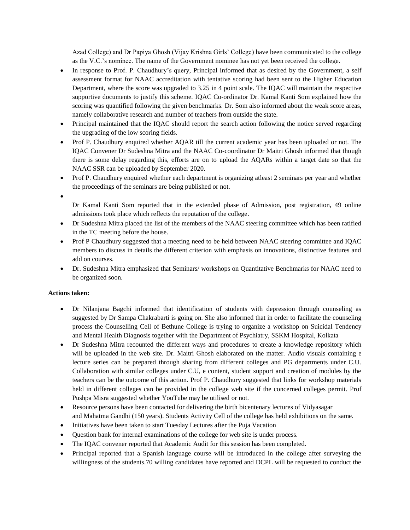Azad College) and Dr Papiya Ghosh (Vijay Krishna Girls' College) have been communicated to the college as the V.C.'s nominee. The name of the Government nominee has not yet been received the college.

- In response to Prof. P. Chaudhury's query, Principal informed that as desired by the Government, a self assessment format for NAAC accreditation with tentative scoring had been sent to the Higher Education Department, where the score was upgraded to 3.25 in 4 point scale. The IQAC will maintain the respective supportive documents to justify this scheme. IOAC Co-ordinator Dr. Kamal Kanti Som explained how the scoring was quantified following the given benchmarks. Dr. Som also informed about the weak score areas, namely collaborative research and number of teachers from outside the state.
- Principal maintained that the IQAC should report the search action following the notice served regarding the upgrading of the low scoring fields.
- Prof P. Chaudhury enquired whether AQAR till the current academic year has been uploaded or not. The IQAC Convener Dr Sudeshna Mitra and the NAAC Co-coordinator Dr Maitri Ghosh informed that though there is some delay regarding this, efforts are on to upload the AQARs within a target date so that the NAAC SSR can be uploaded by September 2020.
- Prof P. Chaudhury enquired whether each department is organizing atleast 2 seminars per year and whether the proceedings of the seminars are being published or not.
- $\bullet$

Dr Kamal Kanti Som reported that in the extended phase of Admission, post registration, 49 online admissions took place which reflects the reputation of the college.

- Dr Sudeshna Mitra placed the list of the members of the NAAC steering committee which has been ratified in the TC meeting before the house.
- Prof P Chaudhury suggested that a meeting need to be held between NAAC steering committee and IQAC members to discuss in details the different criterion with emphasis on innovations, distinctive features and add on courses.
- Dr. Sudeshna Mitra emphasized that Seminars/ workshops on Quantitative Benchmarks for NAAC need to be organized soon.

## **Actions taken:**

- Dr Nilanjana Bagchi informed that identification of students with depression through counseling as suggested by Dr Sampa Chakrabarti is going on. She also informed that in order to facilitate the counseling process the Counselling Cell of Bethune College is trying to organize a workshop on Suicidal Tendency and Mental Health Diagnosis together with the Department of Psychiatry, SSKM Hospital, Kolkata
- Dr Sudeshna Mitra recounted the different ways and procedures to create a knowledge repository which will be uploaded in the web site. Dr. Maitri Ghosh elaborated on the matter. Audio visuals containing e lecture series can be prepared through sharing from different colleges and PG departments under C.U. Collaboration with similar colleges under C.U, e content, student support and creation of modules by the teachers can be the outcome of this action. Prof P. Chaudhury suggested that links for workshop materials held in different colleges can be provided in the college web site if the concerned colleges permit. Prof Pushpa Misra suggested whether YouTube may be utilised or not.
- Resource persons have been contacted for delivering the birth bicentenary lectures of Vidyasagar and Mahatma Gandhi (150 years). Students Activity Cell of the college has held exhibitions on the same.
- Initiatives have been taken to start Tuesday Lectures after the Puja Vacation
- Question bank for internal examinations of the college for web site is under process.
- The IQAC convener reported that Academic Audit for this session has been completed.
- Principal reported that a Spanish language course will be introduced in the college after surveying the willingness of the students.70 willing candidates have reported and DCPL will be requested to conduct the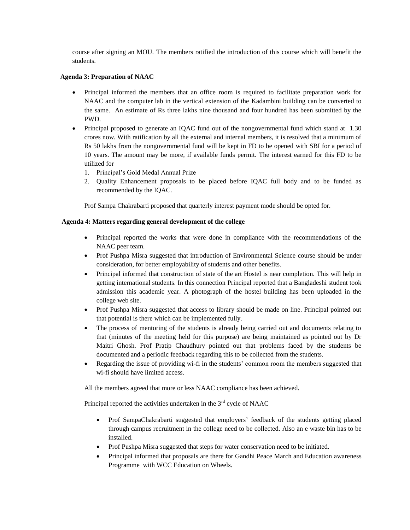course after signing an MOU. The members ratified the introduction of this course which will benefit the students.

## **Agenda 3: Preparation of NAAC**

- Principal informed the members that an office room is required to facilitate preparation work for NAAC and the computer lab in the vertical extension of the Kadambini building can be converted to the same. An estimate of Rs three lakhs nine thousand and four hundred has been submitted by the PWD.
- Principal proposed to generate an IQAC fund out of the nongovernmental fund which stand at 1.30 crores now. With ratification by all the external and internal members, it is resolved that a minimum of Rs 50 lakhs from the nongovernmental fund will be kept in FD to be opened with SBI for a period of 10 years. The amount may be more, if available funds permit. The interest earned for this FD to be utilized for
	- 1. Principal's Gold Medal Annual Prize
	- 2. Quality Enhancement proposals to be placed before IQAC full body and to be funded as recommended by the IQAC.

Prof Sampa Chakrabarti proposed that quarterly interest payment mode should be opted for.

## **Agenda 4: Matters regarding general development of the college**

- Principal reported the works that were done in compliance with the recommendations of the NAAC peer team.
- Prof Pushpa Misra suggested that introduction of Environmental Science course should be under consideration, for better employability of students and other benefits.
- Principal informed that construction of state of the art Hostel is near completion. This will help in getting international students. In this connection Principal reported that a Bangladeshi student took admission this academic year. A photograph of the hostel building has been uploaded in the college web site.
- Prof Pushpa Misra suggested that access to library should be made on line. Principal pointed out that potential is there which can be implemented fully.
- The process of mentoring of the students is already being carried out and documents relating to that (minutes of the meeting held for this purpose) are being maintained as pointed out by Dr Maitri Ghosh. Prof Pratip Chaudhury pointed out that problems faced by the students be documented and a periodic feedback regarding this to be collected from the students.
- Regarding the issue of providing wi-fi in the students' common room the members suggested that wi-fi should have limited access.

All the members agreed that more or less NAAC compliance has been achieved.

Principal reported the activities undertaken in the  $3<sup>rd</sup>$  cycle of NAAC

- Prof SampaChakrabarti suggested that employers' feedback of the students getting placed through campus recruitment in the college need to be collected. Also an e waste bin has to be installed.
- Prof Pushpa Misra suggested that steps for water conservation need to be initiated.
- Principal informed that proposals are there for Gandhi Peace March and Education awareness Programme with WCC Education on Wheels.